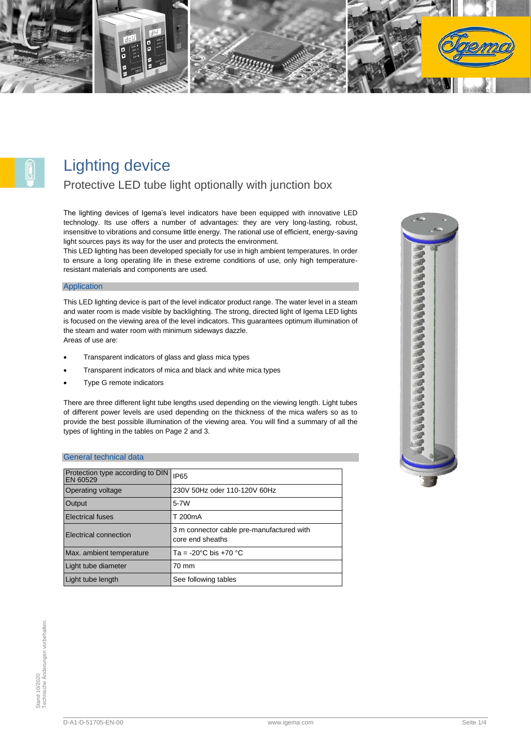

# Lighting device

## Protective LED tube light optionally with junction box

The lighting devices of Igema's level indicators have been equipped with innovative LED technology. Its use offers a number of advantages: they are very long-lasting, robust, insensitive to vibrations and consume little energy. The rational use of efficient, energy-saving light sources pays its way for the user and protects the environment.

This LED lighting has been developed specially for use in high ambient temperatures. In order to ensure a long operating life in these extreme conditions of use, only high temperatureresistant materials and components are used.

#### Application

This LED lighting device is part of the level indicator product range. The water level in a steam and water room is made visible by backlighting. The strong, directed light of Igema LED lights is focused on the viewing area of the level indicators. This guarantees optimum illumination of the steam and water room with minimum sideways dazzle. Areas of use are:

- Transparent indicators of glass and glass mica types
- Transparent indicators of mica and black and white mica types
- Type G remote indicators

There are three different light tube lengths used depending on the viewing length. Light tubes of different power levels are used depending on the thickness of the mica wafers so as to provide the best possible illumination of the viewing area. You will find a summary of all the types of lighting in the tables on Page 2 and 3.

#### General technical data

| Protection type according to DIN<br>EN 60529 | <b>IP65</b>                                                   |
|----------------------------------------------|---------------------------------------------------------------|
| Operating voltage                            | 230V 50Hz oder 110-120V 60Hz                                  |
| Output                                       | $5 - 7W$                                                      |
| <b>Electrical fuses</b>                      | T 200mA                                                       |
| <b>Electrical connection</b>                 | 3 m connector cable pre-manufactured with<br>core end sheaths |
| Max. ambient temperature                     | Ta = -20 $^{\circ}$ C bis +70 $^{\circ}$ C                    |
| Light tube diameter                          | 70 mm                                                         |
| Light tube length                            | See following tables                                          |

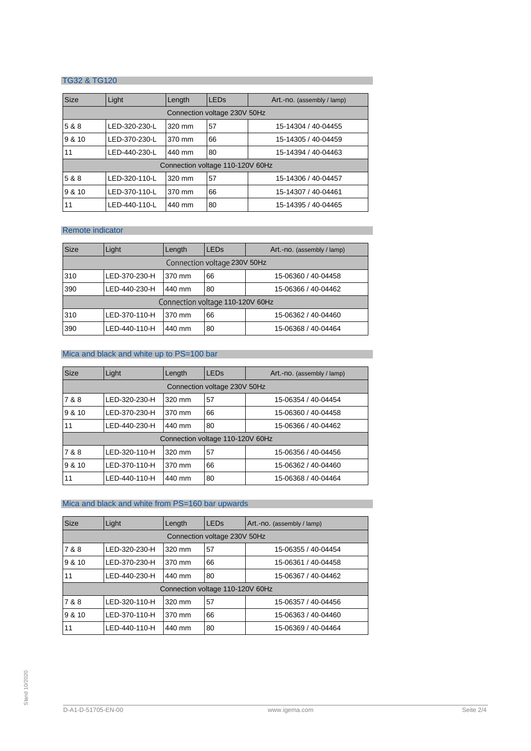### TG32 & TG120

| <b>Size</b>                      | Light                        | Length | <b>LED<sub>s</sub></b> | Art.-no. (assembly / lamp) |
|----------------------------------|------------------------------|--------|------------------------|----------------------------|
|                                  | Connection voltage 230V 50Hz |        |                        |                            |
| 5 & 8                            | LED-320-230-L                | 320 mm | 57                     | 15-14304 / 40-04455        |
| 9 & 10                           | LED-370-230-L                | 370 mm | 66                     | 15-14305 / 40-04459        |
| 11                               | LED-440-230-L                | 440 mm | 80                     | 15-14394 / 40-04463        |
| Connection voltage 110-120V 60Hz |                              |        |                        |                            |
| 5 & 8                            | LED-320-110-L                | 320 mm | 57                     | 15-14306 / 40-04457        |
| 9 & 10                           | LED-370-110-L                | 370 mm | 66                     | 15-14307 / 40-04461        |
| 11                               | LED-440-110-L                | 440 mm | 80                     | 15-14395 / 40-04465        |

## Remote indicator

| <b>Size</b>                      | Light         | Length | <b>LED<sub>s</sub></b> | Art.-no. (assembly / lamp) |
|----------------------------------|---------------|--------|------------------------|----------------------------|
| Connection voltage 230V 50Hz     |               |        |                        |                            |
| 310                              | LED-370-230-H | 370 mm | 66                     | 15-06360 / 40-04458        |
| 390                              | LED-440-230-H | 440 mm | 80                     | 15-06366 / 40-04462        |
| Connection voltage 110-120V 60Hz |               |        |                        |                            |
| 310                              | LED-370-110-H | 370 mm | 66                     | 15-06362 / 40-04460        |
| 390                              | LED-440-110-H | 440 mm | 80                     | 15-06368 / 40-04464        |

### Mica and black and white up to PS=100 bar

| <b>Size</b>                      | Light                        | Length | <b>LED<sub>s</sub></b> | Art.-no. (assembly / lamp) |  |
|----------------------------------|------------------------------|--------|------------------------|----------------------------|--|
|                                  | Connection voltage 230V 50Hz |        |                        |                            |  |
| 7 & 8                            | LED-320-230-H                | 320 mm | 57                     | 15-06354 / 40-04454        |  |
| 9 & 10                           | LED-370-230-H                | 370 mm | 66                     | 15-06360 / 40-04458        |  |
| 11                               | LED-440-230-H                | 440 mm | 80                     | 15-06366 / 40-04462        |  |
| Connection voltage 110-120V 60Hz |                              |        |                        |                            |  |
| 7 & 8                            | LED-320-110-H                | 320 mm | 57                     | 15-06356 / 40-04456        |  |
| 9 & 10                           | LED-370-110-H                | 370 mm | 66                     | 15-06362 / 40-04460        |  |
| 11                               | LED-440-110-H                | 440 mm | 80                     | 15-06368 / 40-04464        |  |

## Mica and black and white from PS=160 bar upwards

| <b>Size</b>                      | Light                        | Length | <b>LED<sub>s</sub></b> | Art.-no. (assembly / lamp) |  |
|----------------------------------|------------------------------|--------|------------------------|----------------------------|--|
|                                  | Connection voltage 230V 50Hz |        |                        |                            |  |
| 7 & 8                            | LED-320-230-H                | 320 mm | 57                     | 15-06355 / 40-04454        |  |
| 9 & 10                           | LED-370-230-H                | 370 mm | 66                     | 15-06361 / 40-04458        |  |
| 11                               | LED-440-230-H                | 440 mm | 80                     | 15-06367 / 40-04462        |  |
| Connection voltage 110-120V 60Hz |                              |        |                        |                            |  |
| 7 & 8                            | LED-320-110-H                | 320 mm | 57                     | 15-06357 / 40-04456        |  |
| 9 & 10                           | LED-370-110-H                | 370 mm | 66                     | 15-06363 / 40-04460        |  |
| 11                               | LED-440-110-H                | 440 mm | 80                     | 15-06369 / 40-04464        |  |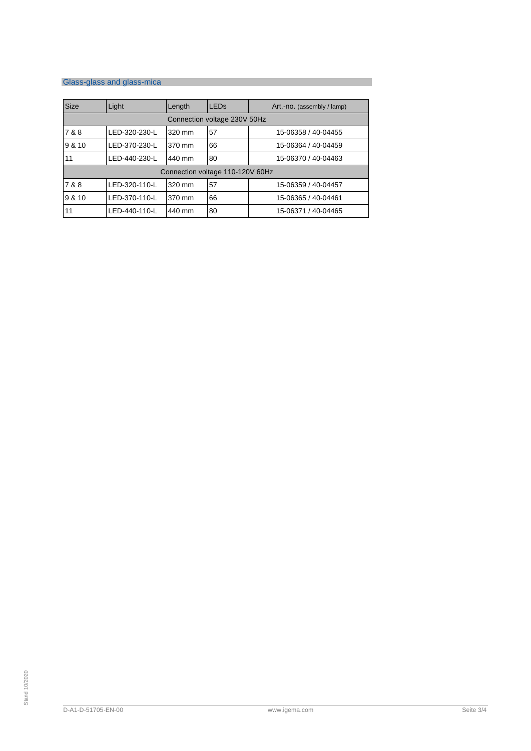# Glass-glass and glass-mica

| <b>Size</b>                      | Light                        | Length | <b>LED<sub>s</sub></b> | Art.-no. (assembly / lamp) |
|----------------------------------|------------------------------|--------|------------------------|----------------------------|
|                                  | Connection voltage 230V 50Hz |        |                        |                            |
| 7 & 8                            | LED-320-230-L                | 320 mm | 57                     | 15-06358 / 40-04455        |
| 9 & 10                           | LED-370-230-L                | 370 mm | 66                     | 15-06364 / 40-04459        |
| 11                               | LED-440-230-L                | 440 mm | 80                     | 15-06370 / 40-04463        |
| Connection voltage 110-120V 60Hz |                              |        |                        |                            |
| 7 & 8                            | LED-320-110-L                | 320 mm | 57                     | 15-06359 / 40-04457        |
| 9 & 10                           | LED-370-110-L                | 370 mm | 66                     | 15-06365 / 40-04461        |
| 11                               | LED-440-110-L                | 440 mm | 80                     | 15-06371 / 40-04465        |